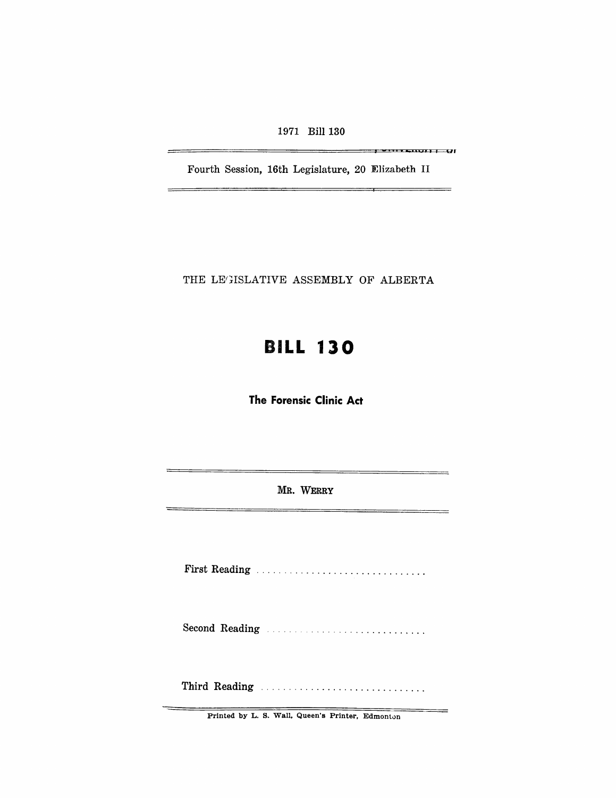1971 Bill 130

**" ur** 

Fourth Session, 16th Legislature, 20 Elizabeth II

THE LEGISLATIVE ASSEMBLY OF ALBERTA

# **BILL 130**

**The Forensic Clinic Act** 

MR. WERRY

First Reading .............................. .

Second Reading **Construction** Construction of the Second Reading

Third Reading .................................

Printed by L. S. Wall, Queen's Printer, Edmonton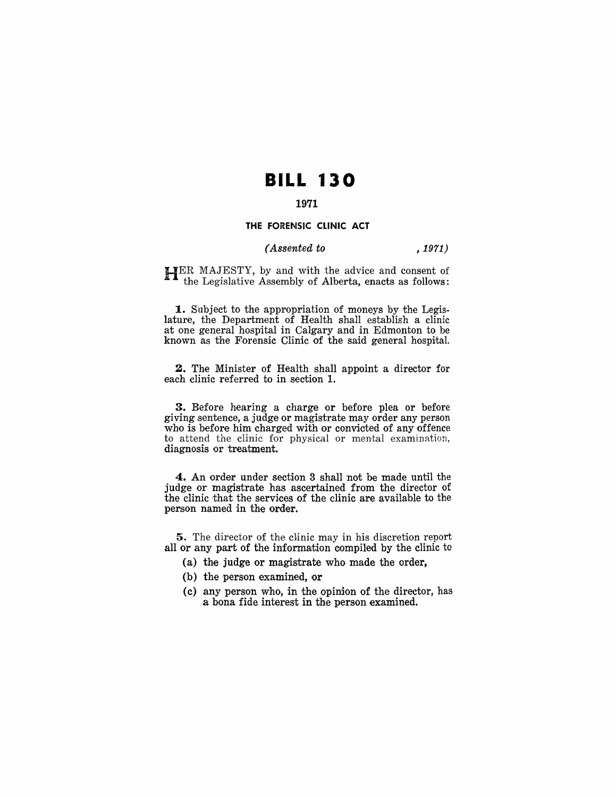## **BILL 130**

### 1971

#### THE FORENSIC CLINIC ACT

#### *(Assented to* , 1971)

HER MAJESTY, by and with the advice and consent of the Legislative Assembly of Alberta, enacts as follows:

**1.** Subject to the appropriation of moneys by the Legislature, the Department of Health shall establish a clinic at one general hospital in Calgary and in Edmonton to be known as the Forensic Clinic of the said general hospital.

2. The Minister of Health shall appoint a director for each clinic referred to in section 1.

**3.** Before hearing a charge or before plea or before giving sentence, a judge or magistrate may order any person who is before him charged with or convicted of any offence to attend the clinic for physical or mental examination, diagnosis or treatment.

4. An order under section 3 shall not be made until the judge or magistrate has ascertained from the director of the clinic that the services of the clinic are available to the person named in the order.

5. The director of the clinic may in his discretion report all or any part of the information compiled by the clinic to

- (a) the judge or magistrate who made the order,
- $(b)$  the person examined, or
- (c) any person who, in the opinion of the director, has a bona fide interest in the person examined.